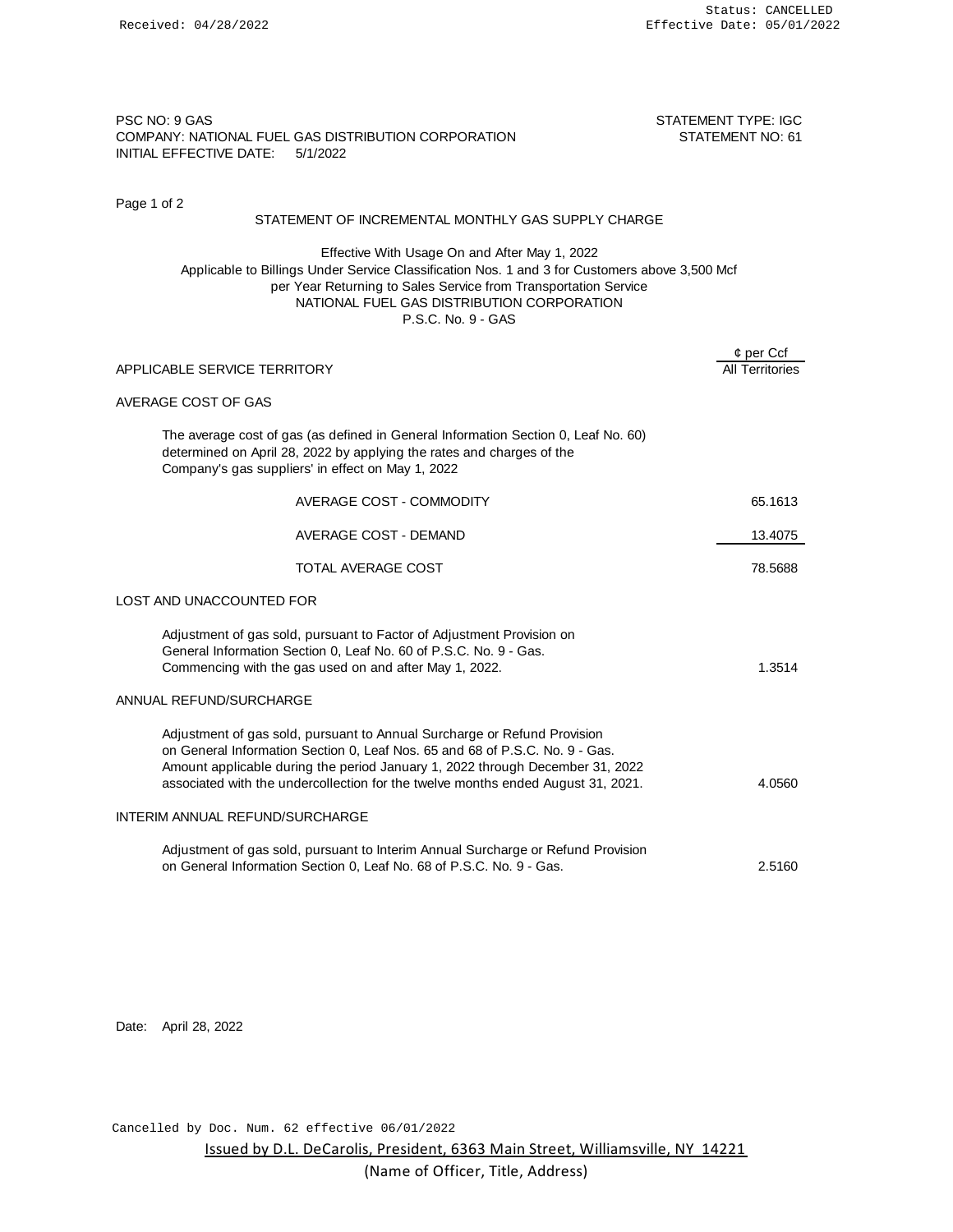Page 1 of 2

## PSC NO: 9 GAS STATEMENT TYPE: IGC COMPANY: NATIONAL FUEL GAS DISTRIBUTION CORPORATION STATEMENT NO: 61 INITIAL EFFECTIVE DATE: 5/1/2022

| STATEMENT OF INCREMENTAL MONTHLY GAS SUPPLY CHARGE                                                                                                                                                                                                                                                                            |                                       |
|-------------------------------------------------------------------------------------------------------------------------------------------------------------------------------------------------------------------------------------------------------------------------------------------------------------------------------|---------------------------------------|
| Effective With Usage On and After May 1, 2022<br>Applicable to Billings Under Service Classification Nos. 1 and 3 for Customers above 3,500 Mcf<br>per Year Returning to Sales Service from Transportation Service<br>NATIONAL FUEL GAS DISTRIBUTION CORPORATION<br>P.S.C. No. 9 - GAS                                        |                                       |
| APPLICABLE SERVICE TERRITORY                                                                                                                                                                                                                                                                                                  | $¢$ per Ccf<br><b>All Territories</b> |
| AVERAGE COST OF GAS                                                                                                                                                                                                                                                                                                           |                                       |
| The average cost of gas (as defined in General Information Section 0, Leaf No. 60)<br>determined on April 28, 2022 by applying the rates and charges of the<br>Company's gas suppliers' in effect on May 1, 2022                                                                                                              |                                       |
| AVERAGE COST - COMMODITY                                                                                                                                                                                                                                                                                                      | 65.1613                               |
| AVERAGE COST - DEMAND                                                                                                                                                                                                                                                                                                         | 13.4075                               |
| TOTAL AVERAGE COST                                                                                                                                                                                                                                                                                                            | 78.5688                               |
| LOST AND UNACCOUNTED FOR                                                                                                                                                                                                                                                                                                      |                                       |
| Adjustment of gas sold, pursuant to Factor of Adjustment Provision on<br>General Information Section 0, Leaf No. 60 of P.S.C. No. 9 - Gas.<br>Commencing with the gas used on and after May 1, 2022.                                                                                                                          | 1.3514                                |
| ANNUAL REFUND/SURCHARGE                                                                                                                                                                                                                                                                                                       |                                       |
| Adjustment of gas sold, pursuant to Annual Surcharge or Refund Provision<br>on General Information Section 0, Leaf Nos. 65 and 68 of P.S.C. No. 9 - Gas.<br>Amount applicable during the period January 1, 2022 through December 31, 2022<br>associated with the undercollection for the twelve months ended August 31, 2021. | 4.0560                                |
| INTERIM ANNUAL REFUND/SURCHARGE                                                                                                                                                                                                                                                                                               |                                       |
| Adjustment of gas sold, pursuant to Interim Annual Surcharge or Refund Provision<br>on General Information Section 0, Leaf No. 68 of P.S.C. No. 9 - Gas.                                                                                                                                                                      | 2.5160                                |
|                                                                                                                                                                                                                                                                                                                               |                                       |

Date: April 28, 2022

Cancelled by Doc. Num. 62 effective 06/01/2022

Issued by D.L. DeCarolis, President, 6363 Main Street, Williamsville, NY 14221